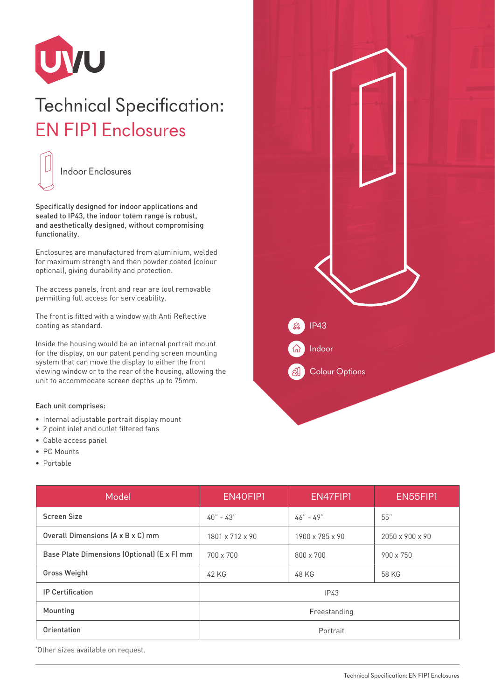

## Technical Specification: EN FIP1 Enclosures



Specifically designed for indoor applications and sealed to IP43, the indoor totem range is robust, and aesthetically designed, without compromising functionality.

Enclosures are manufactured from aluminium, welded for maximum strength and then powder coated (colour optional), giving durability and protection.

The access panels, front and rear are tool removable permitting full access for serviceability.

The front is fitted with a window with Anti Reflective coating as standard.

Inside the housing would be an internal portrait mount for the display, on our patent pending screen mounting system that can move the display to either the front viewing window or to the rear of the housing, allowing the unit to accommodate screen depths up to 75mm.

## Each unit comprises:

- Internal adjustable portrait display mount
- 2 point inlet and outlet filtered fans
- Cable access panel
- PC Mounts
- Portable

| $\Omega$<br>IP43<br>Indoor<br>6<br>$\mathbf{A}$<br><b>Colour Options</b> |  |  |
|--------------------------------------------------------------------------|--|--|
|                                                                          |  |  |

| Model                                       | EN40FIP1        | EN47FIP1        | EN55FIP1        |
|---------------------------------------------|-----------------|-----------------|-----------------|
| <b>Screen Size</b>                          | $40 - 43$       | $46" - 49"$     | 55"             |
| Overall Dimensions (A x B x C) mm           | 1801 x 712 x 90 | 1900 x 785 x 90 | 2050 x 900 x 90 |
| Base Plate Dimensions (Optional) (E x F) mm | 700 x 700       | 800 x 700       | 900 x 750       |
| <b>Gross Weight</b>                         | 42 KG           | 48 KG           | 58 KG           |
| <b>IP Certification</b>                     | IP43            |                 |                 |
| Mounting                                    | Freestanding    |                 |                 |
| Orientation                                 | Portrait        |                 |                 |

\* Other sizes available on request.